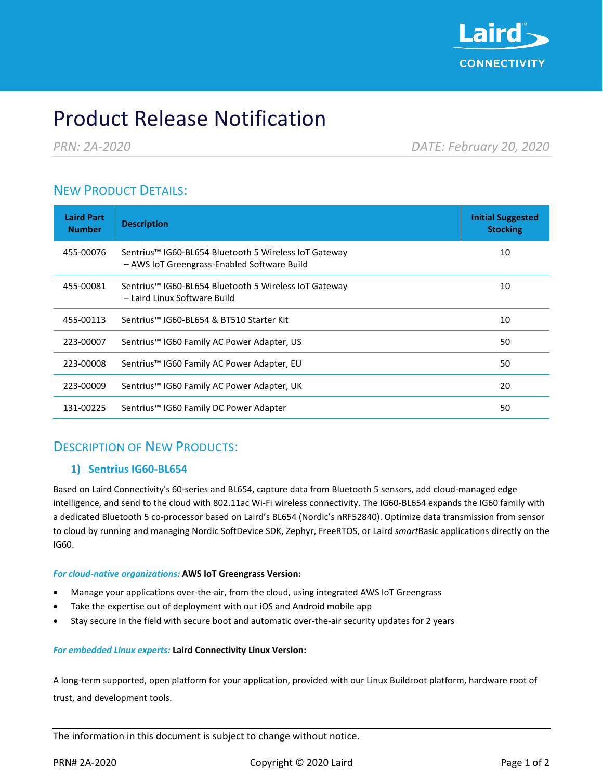

# Product Release Notification

*PRN: 2A-2020 DATE: February 20, 2020*

# NEW PRODUCT DETAILS:

| <b>Laird Part</b><br><b>Number</b> | <b>Description</b>                                                                                               | <b>Initial Suggested</b><br><b>Stocking</b> |
|------------------------------------|------------------------------------------------------------------------------------------------------------------|---------------------------------------------|
| 455-00076                          | Sentrius <sup>™</sup> IG60-BL654 Bluetooth 5 Wireless IoT Gateway<br>- AWS IoT Greengrass-Enabled Software Build | 10                                          |
| 455-00081                          | Sentrius™ IG60-BL654 Bluetooth 5 Wireless IoT Gateway<br>- Laird Linux Software Build                            | 10                                          |
| 455-00113                          | Sentrius™ IG60-BL654 & BT510 Starter Kit                                                                         | 10                                          |
| 223-00007                          | Sentrius™ IG60 Family AC Power Adapter, US                                                                       | 50                                          |
| 223-00008                          | Sentrius™ IG60 Family AC Power Adapter, EU                                                                       | 50                                          |
| 223-00009                          | Sentrius™ IG60 Family AC Power Adapter, UK                                                                       | 20                                          |
| 131-00225                          | Sentrius™ IG60 Family DC Power Adapter                                                                           | 50                                          |

# DESCRIPTION OF NEW PRODUCTS:

#### **1) Sentrius IG60-BL654**

Based on Laird Connectivity's 60-series and BL654, capture data from Bluetooth 5 sensors, add cloud-managed edge intelligence, and send to the cloud with 802.11ac Wi-Fi wireless connectivity. The IG60-BL654 expands the IG60 family with a dedicated Bluetooth 5 co-processor based on Laird's BL654 (Nordic's nRF52840). Optimize data transmission from sensor to cloud by running and managing Nordic SoftDevice SDK, Zephyr, FreeRTOS, or Laird *smart*Basic applications directly on the IG60.

#### *For cloud-native organizations:* **AWS IoT Greengrass Version:**

- Manage your applications over-the-air, from the cloud, using integrated AWS IoT Greengrass
- Take the expertise out of deployment with our iOS and Android mobile app
- Stay secure in the field with secure boot and automatic over-the-air security updates for 2 years

#### *For embedded Linux experts:* **Laird Connectivity Linux Version:**

A long-term supported, open platform for your application, provided with our Linux Buildroot platform, hardware root of trust, and development tools.

The information in this document is subject to change without notice.